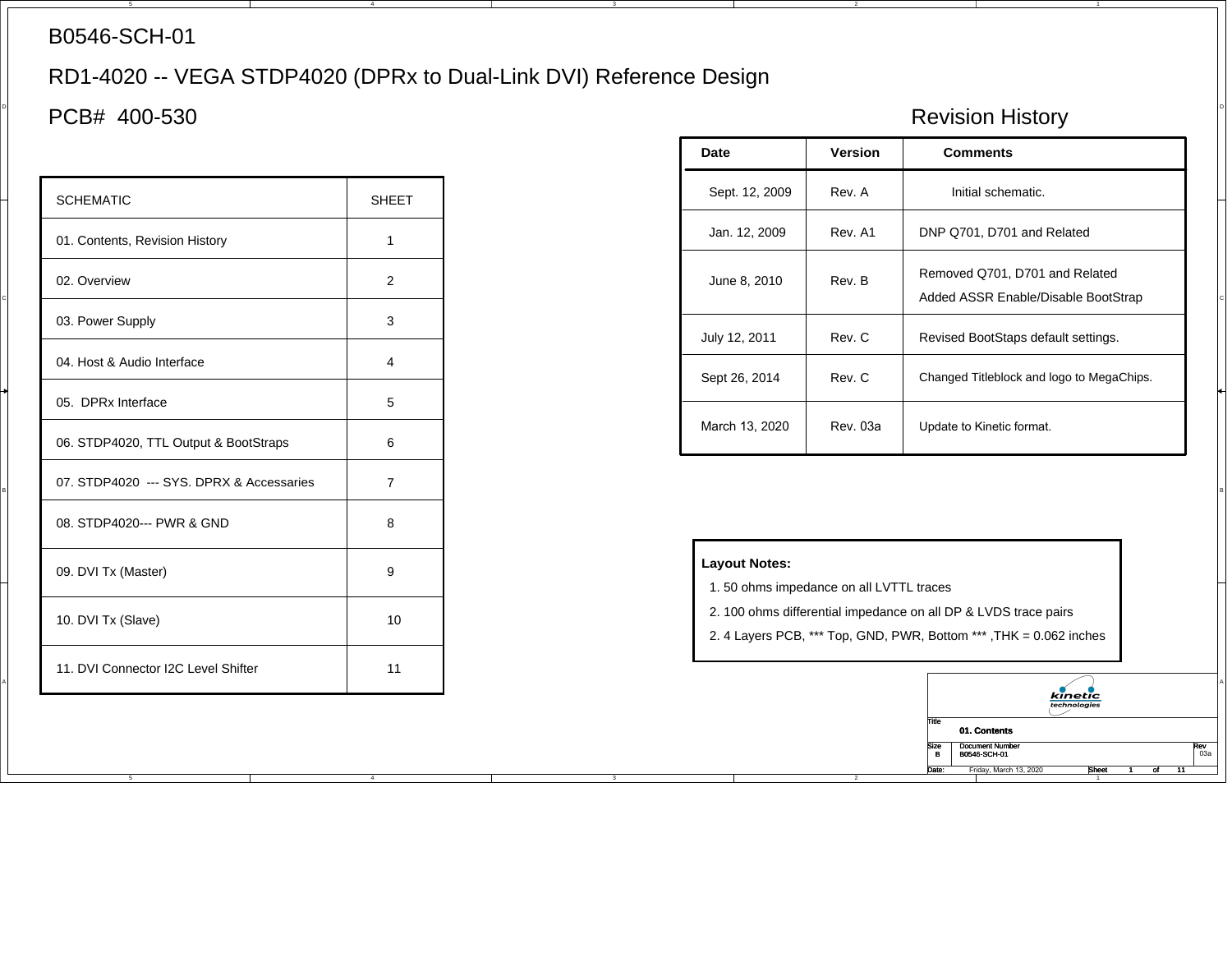## B0546-SCH-01

## RD1-4020 -- VEGA STDP4020 (DPRx to Dual-Link DVI) Reference Design

4

4

## $\parallel$  PCB# 400-530  $\parallel$ PCB# 400-530

| <b>SCHEMATIC</b>                         | <b>SHEET</b>   | Sept. 12, 2009<br>Rev. A<br>Initial schematic.                                                                                        |         |                                                                       |  |  |
|------------------------------------------|----------------|---------------------------------------------------------------------------------------------------------------------------------------|---------|-----------------------------------------------------------------------|--|--|
| 01. Contents, Revision History           | -1             | Jan. 12, 2009                                                                                                                         | Rev. A1 | DNP Q701, D701 and Related                                            |  |  |
| 02. Overview                             | 2              | June 8, 2010                                                                                                                          | Rev. B  | Removed Q701, D701 and Related<br>Added ASSR Enable/Disable BootStrap |  |  |
| 03. Power Supply                         | 3              | July 12, 2011                                                                                                                         | Rev. C  | Revised BootStaps default settings.                                   |  |  |
| 04. Host & Audio Interface               | $\overline{4}$ | Sept 26, 2014                                                                                                                         | Rev. C  | Changed Titleblock and logo to MegaChips.                             |  |  |
| 05. DPRx Interface                       | 5              |                                                                                                                                       |         |                                                                       |  |  |
| 06. STDP4020, TTL Output & BootStraps    | 6              | March 13, 2020<br><b>Rev. 03a</b><br>Update to Kinetic format.                                                                        |         |                                                                       |  |  |
| 07. STDP4020 --- SYS. DPRX & Accessaries | $\overline{7}$ |                                                                                                                                       |         |                                                                       |  |  |
| 08. STDP4020--- PWR & GND                | 8              |                                                                                                                                       |         |                                                                       |  |  |
| 09. DVI Tx (Master)                      | 9              | <b>Layout Notes:</b><br>1.50 ohms impedance on all LVTTL traces                                                                       |         |                                                                       |  |  |
| 10. DVI Tx (Slave)                       | 10             | 2. 100 ohms differential impedance on all DP & LVDS trace pairs<br>2. 4 Layers PCB, *** Top, GND, PWR, Bottom ***, THK = 0.062 inches |         |                                                                       |  |  |
| 11. DVI Connector I2C Level Shifter      | 11             |                                                                                                                                       |         |                                                                       |  |  |

|                                       |              | Date           | Version  | <b>Comments</b>                                                       |
|---------------------------------------|--------------|----------------|----------|-----------------------------------------------------------------------|
| <b>SCHEMATIC</b>                      | <b>SHEET</b> | Sept. 12, 2009 | Rev. A   | Initial schematic.                                                    |
| 01. Contents, Revision History        |              | Jan. 12, 2009  | Rev. A1  | DNP Q701, D701 and Related                                            |
| 02. Overview                          | 2            | June 8, 2010   | Rev. B   | Removed Q701, D701 and Related<br>Added ASSR Enable/Disable BootStrap |
| 03. Power Supply                      | 3            | July 12, 2011  | Rev. C   | Revised BootStaps default settings.                                   |
| 04. Host & Audio Interface            | 4            | Sept 26, 2014  | Rev. C   | Changed Titleblock and logo to MegaChips.                             |
| 05. DPRx Interface                    | 5            |                |          |                                                                       |
| 06. STDP4020, TTL Output & BootStraps | 6            | March 13, 2020 | Rev. 03a | Update to Kinetic format.                                             |

## **Layout Notes:**

- 1. 50 ohms impedance on all LVTTL traces
- 2. 100 ohms differential impedance on all DP & LVDS trace pairs
- 2. 4 Layers PCB, \*\*\* Top, GND, PWR, Bottom \*\*\* ,THK = 0.062 inches

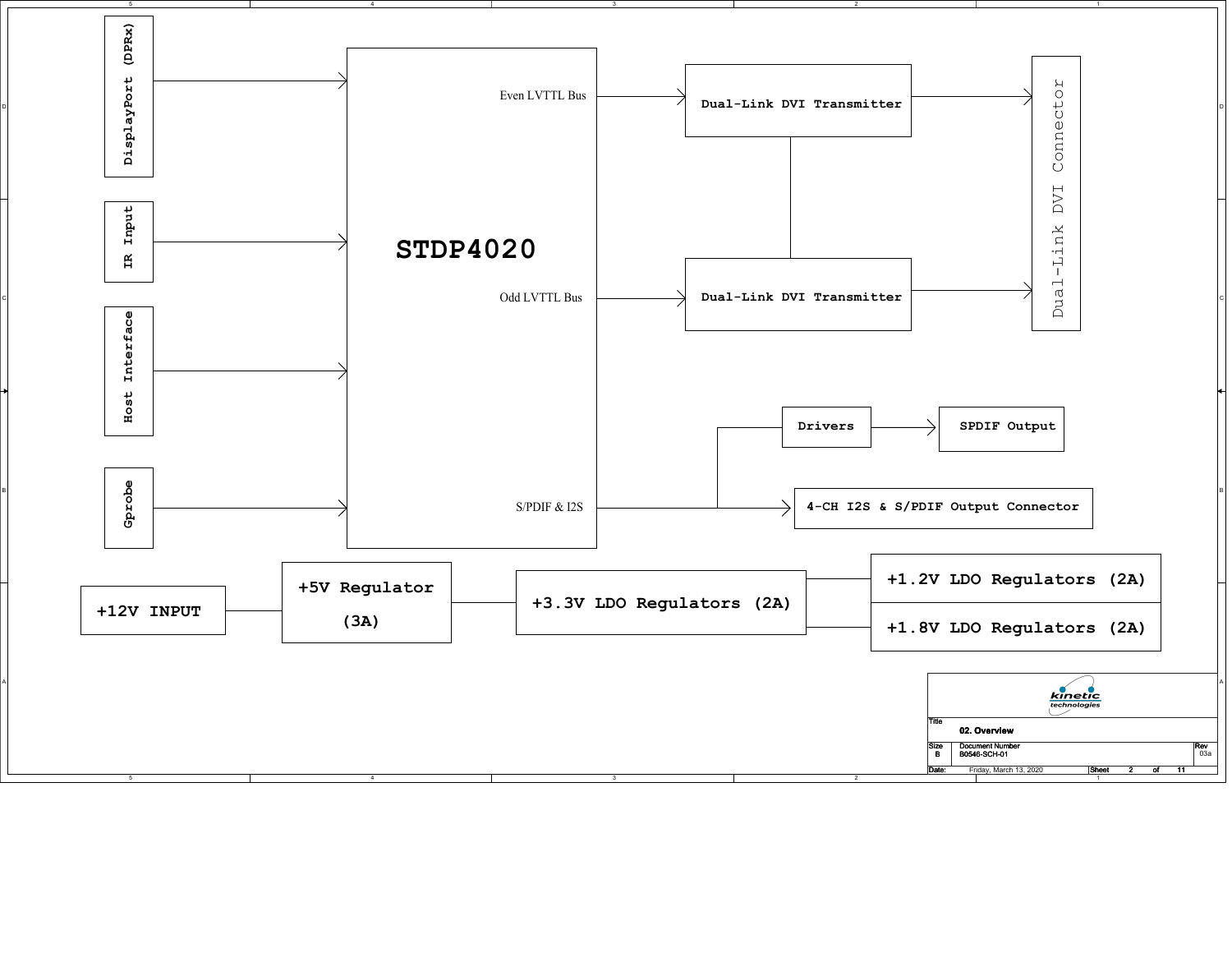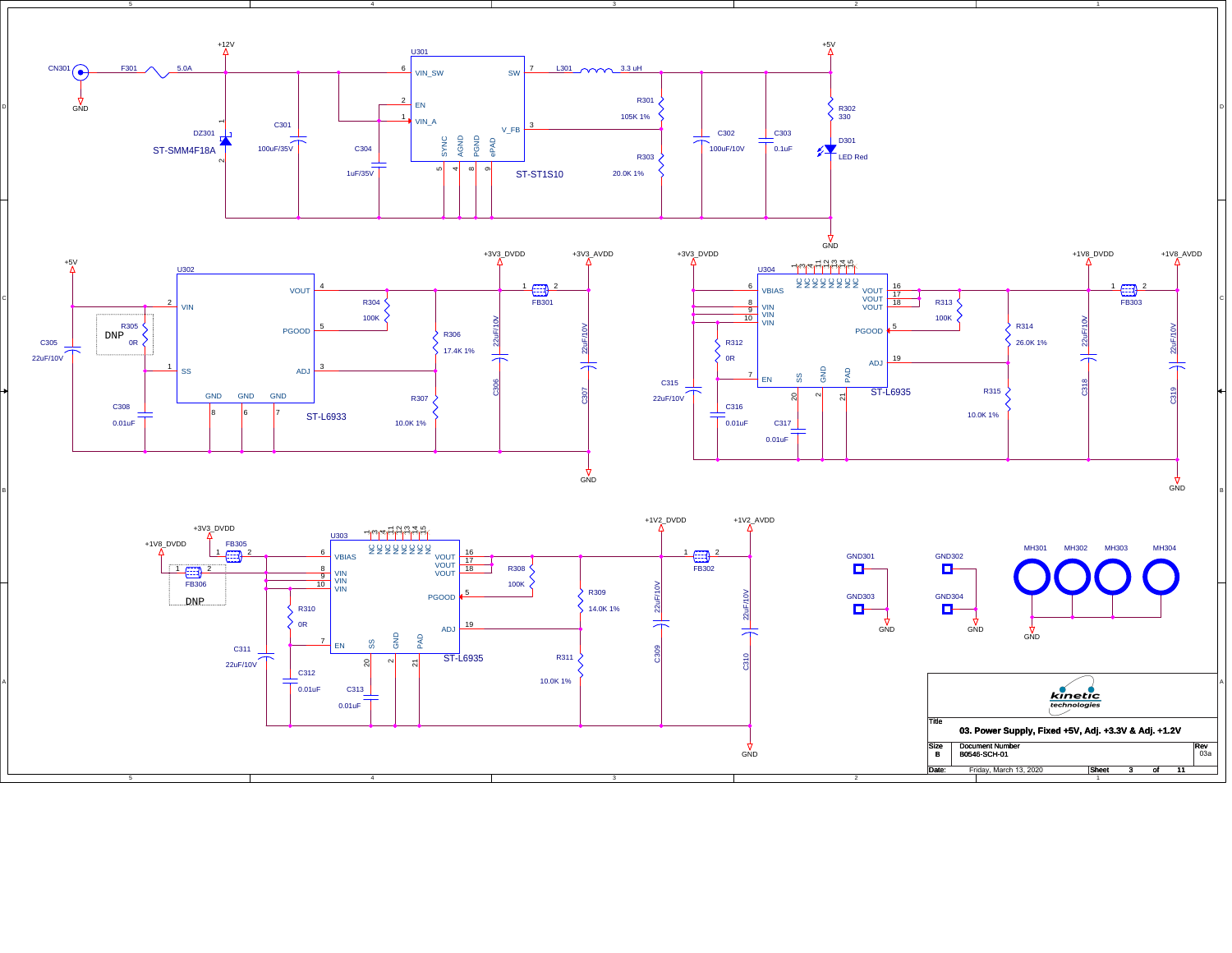

GND

10.0K 1% C313 0.01uF

4

0.01uF

B

A

 $kinetic$ Title **03. Power Supply, Fixed +5V, Adj. +3.3V & Adj. +1.2V**  $Rev$ <sub>03a</sub> Size<br>B e Document Number Rev<br>B0546-SCH-01 203 Date  $\overline{11}$  $3$  of : Friday, March 13, 2020 **Sheet 3** of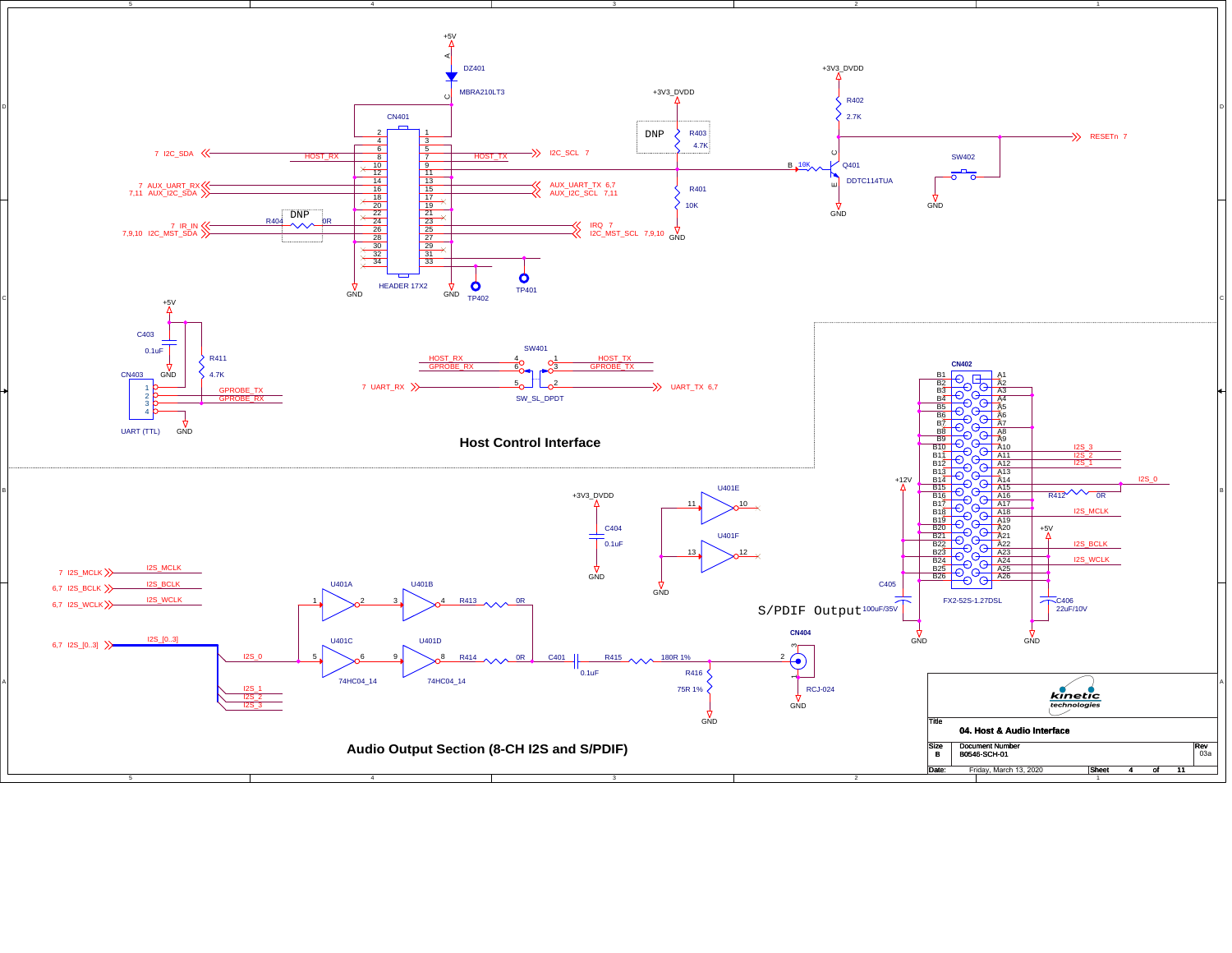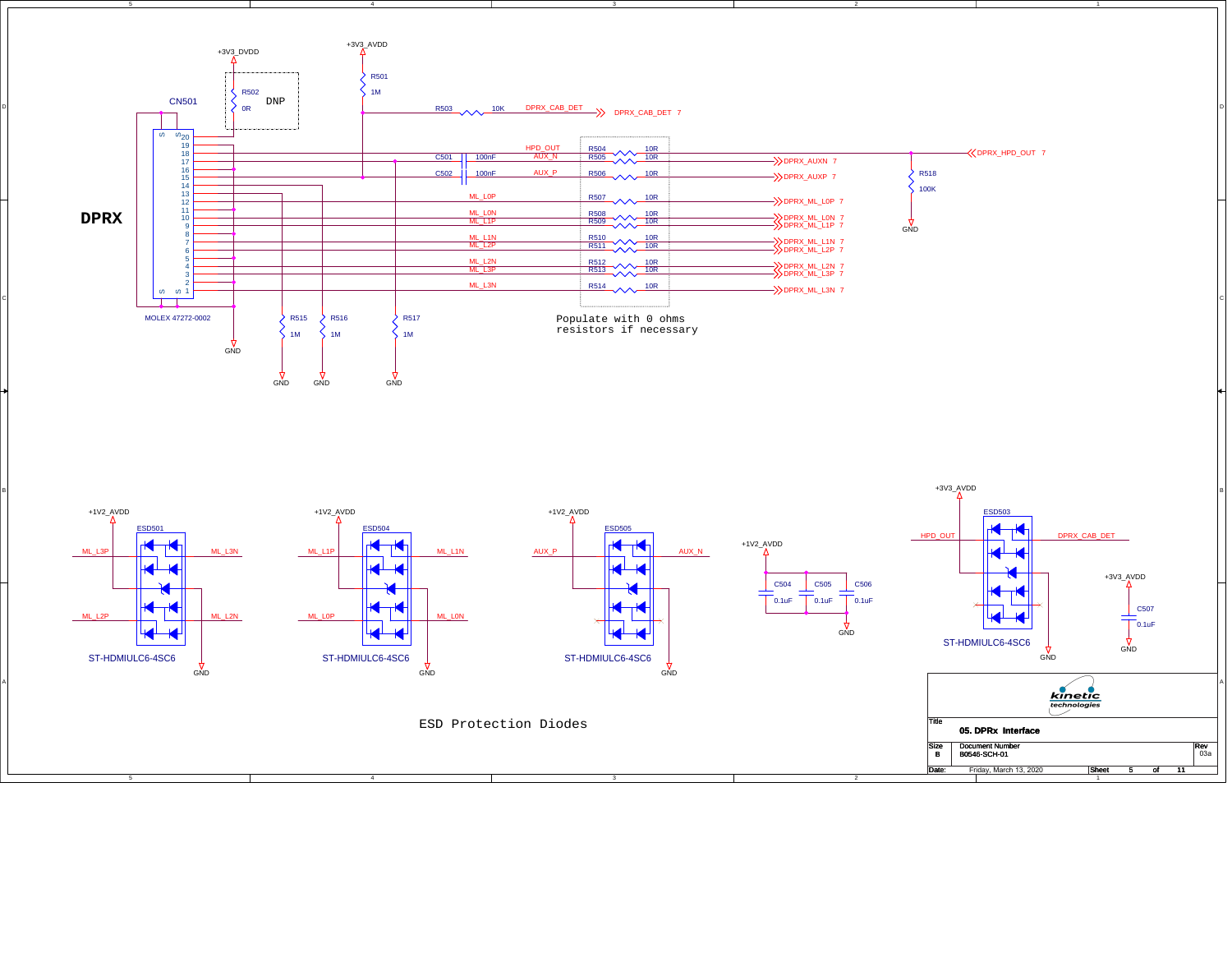

3

GND

ESD Protection Diodes

4

GND

GND

D

B

A

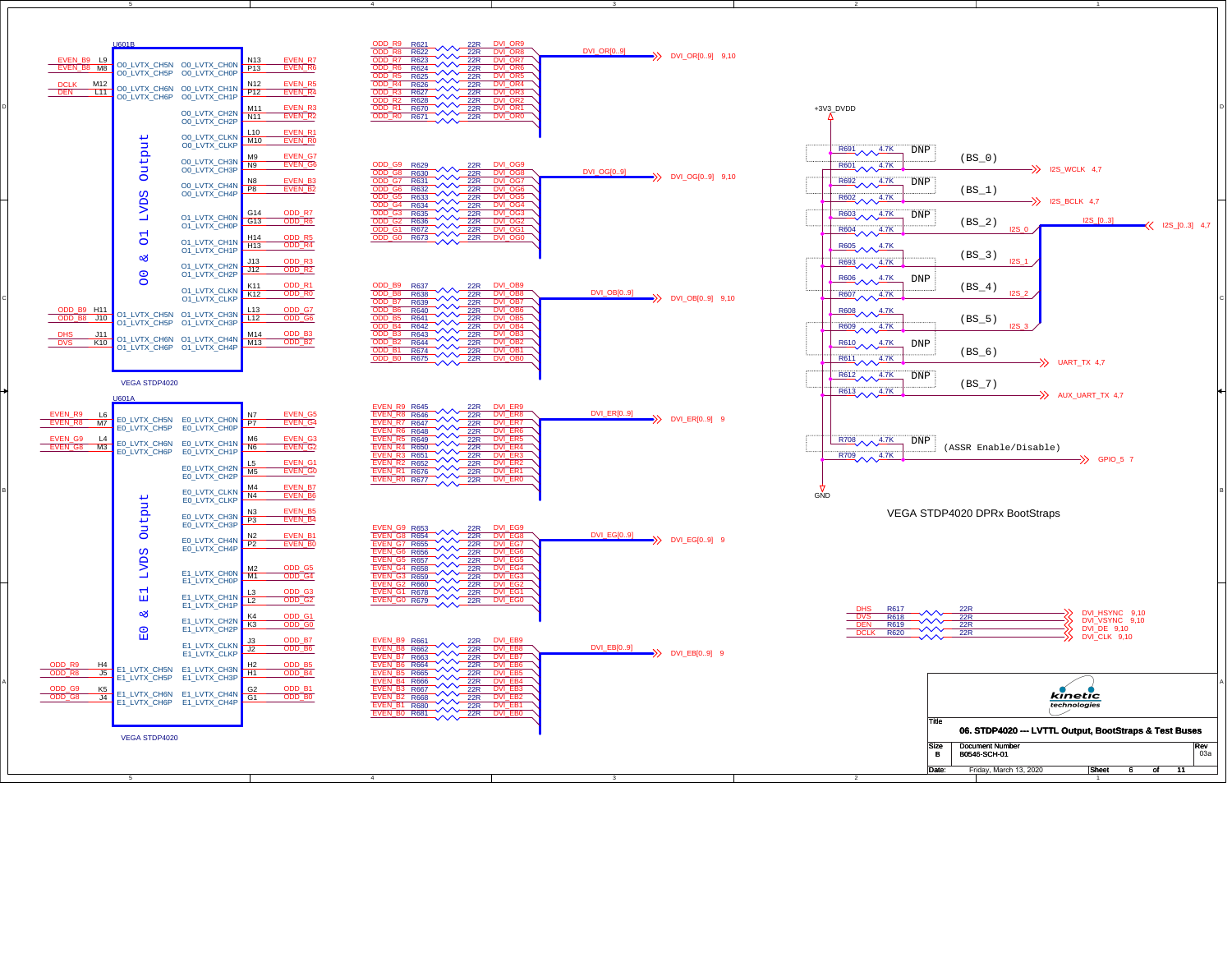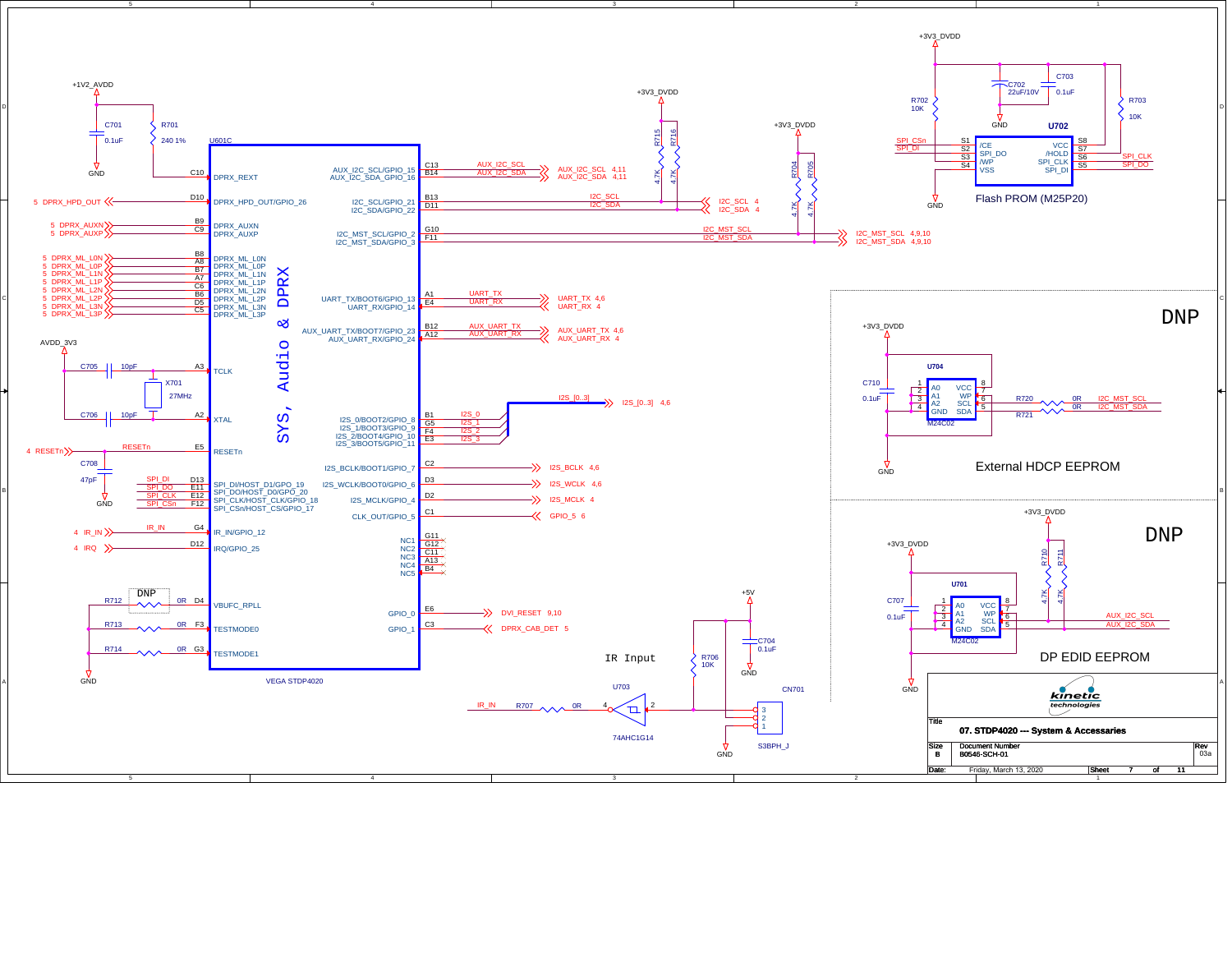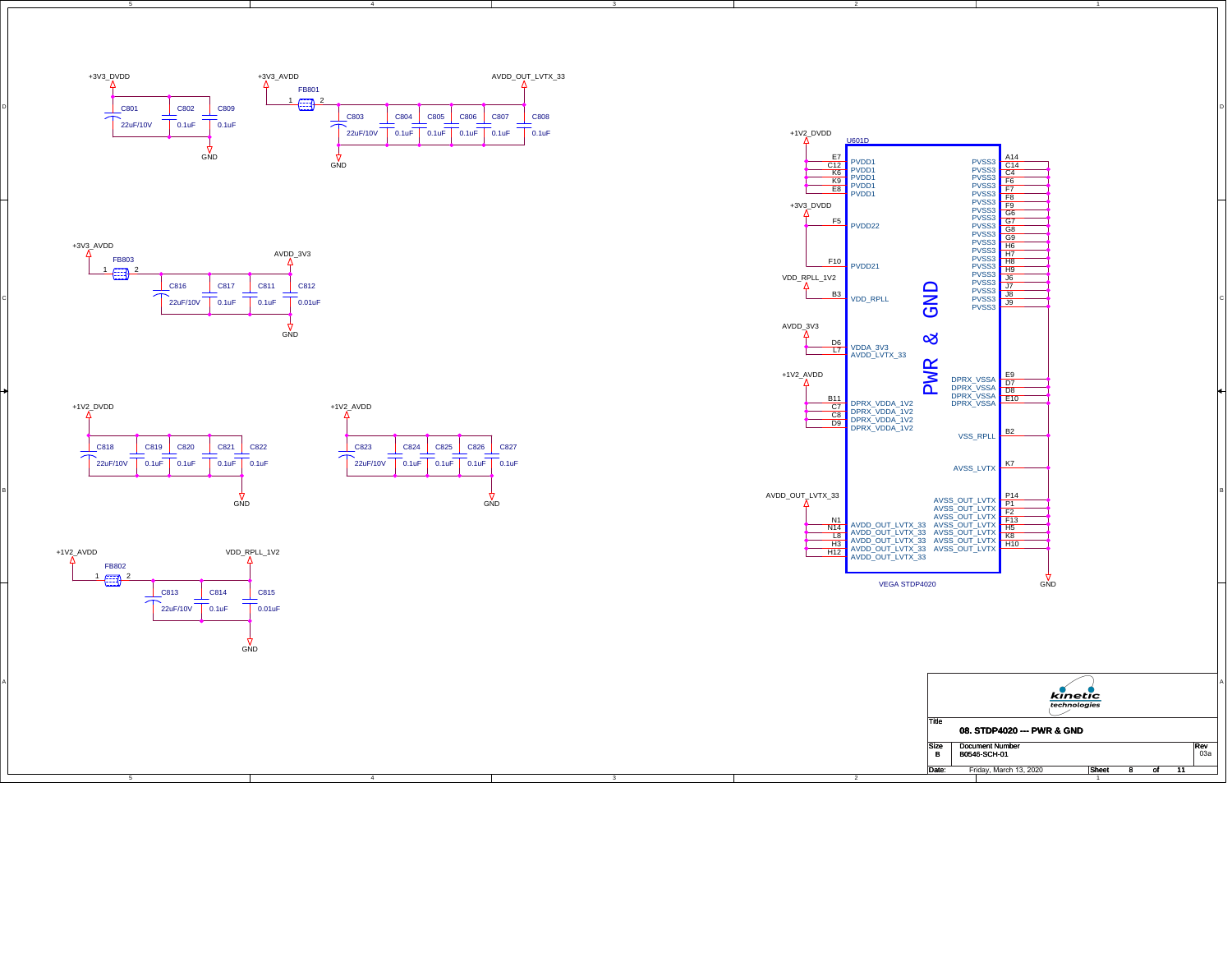

4







4



B

A



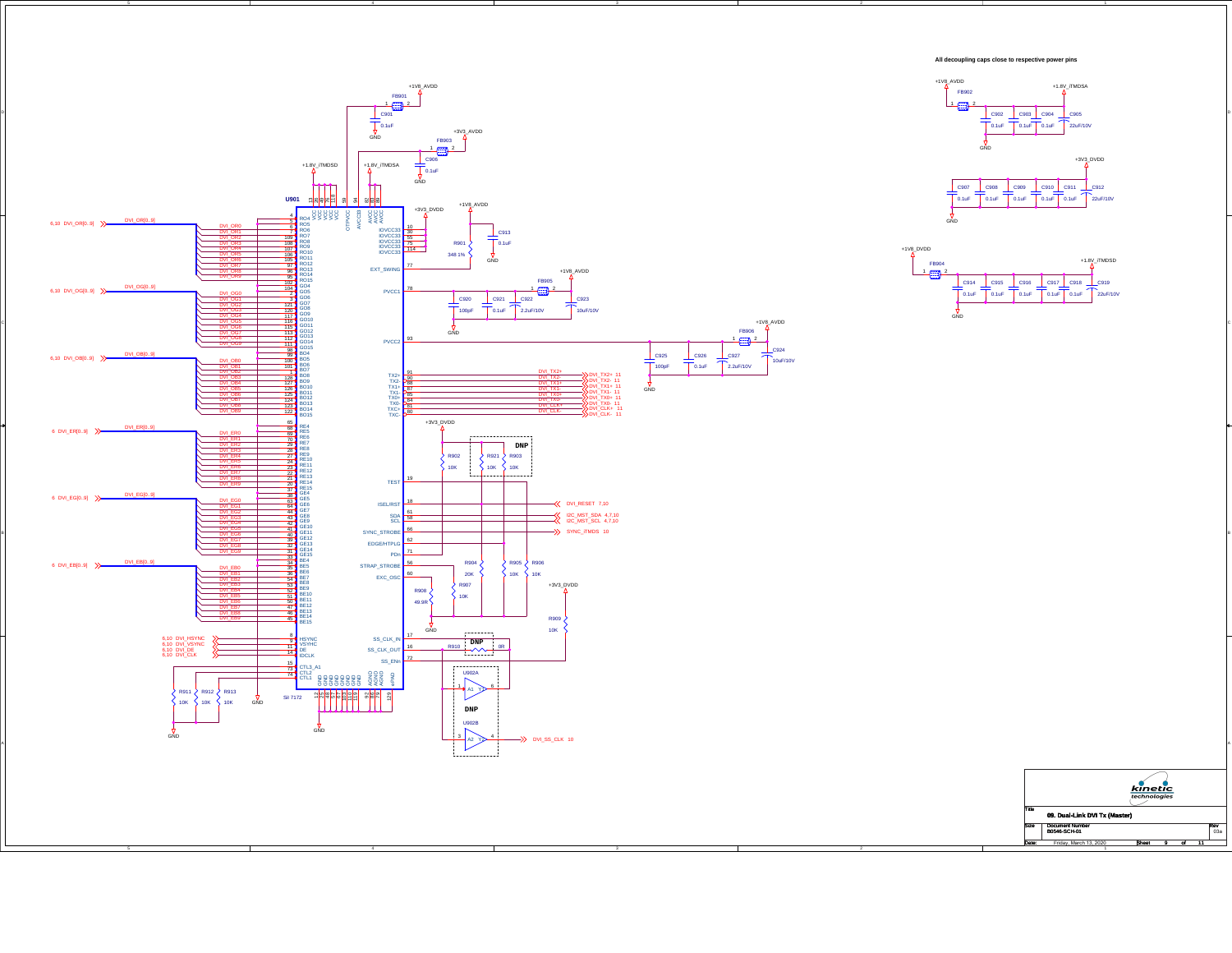

4

D

C

4

|             | kinetic<br>technologies<br>09. Dual-Link DVI Tx (Master) |              |   |                   |  |           |  |  |  |
|-------------|----------------------------------------------------------|--------------|---|-------------------|--|-----------|--|--|--|
| Title       |                                                          |              |   |                   |  |           |  |  |  |
| <b>Size</b> | <b>Document Number</b><br>B0546-SCH-01                   |              |   |                   |  | Rev<br>03 |  |  |  |
| Date:       | Friday March 13 2020                                     | <b>Rheet</b> | я | $\mathbf{\Omega}$ |  |           |  |  |  |

Friday, March 13, 2020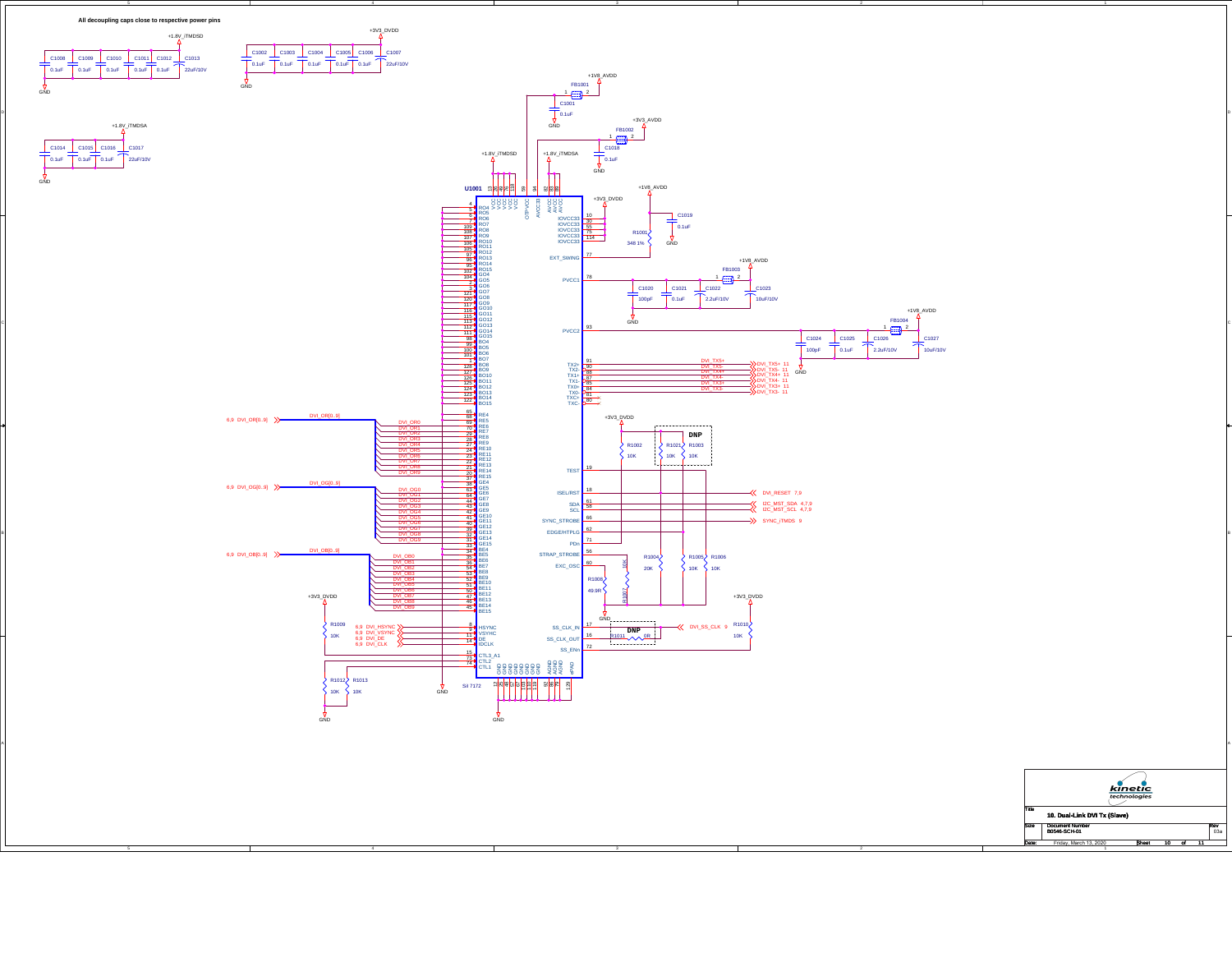